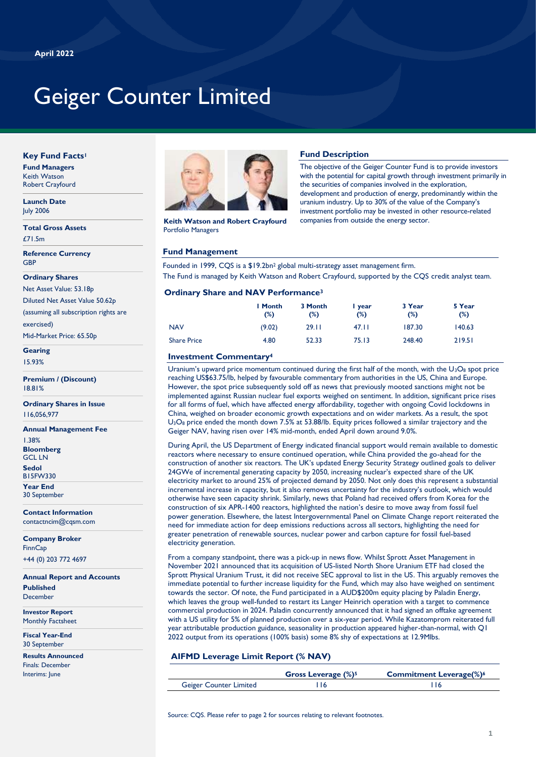# Geiger Counter Limited

# **Key Fund Facts<sup>1</sup>**

**Fund Managers** Keith Watson Robert Crayfourd

#### **Launch Date** July 2006

**Total Gross Assets** £71.5m

**Reference Currency GBP** 

#### **Ordinary Shares**

Net Asset Value: 53.18p

Diluted Net Asset Value 50.62p

(assuming all subscription rights are exercised)

Mid-Market Price: 65.50p

**Gearing** 15.93%

**Premium / (Discount)** 18.81%

**Ordinary Shares in Issue** 116,056,977

**Annual Management Fee** 1.38% **Bloomberg** GCL LN

**Sedol** B15FW330

**Year End**

30 September

**Contact Information** contactncim@cqsm.com

**Company Broker FinnCap** +44 (0) 203 772 4697

**Annual Report and Accounts Published** December

**Investor Report** Monthly Factsheet

**Fiscal Year-End** 30 September

**Results Announced** Finals: December Interims: June



**Keith Watson and Robert Crayfourd** Portfolio Managers

# **Fund Management**

Founded in 1999, CQS is a \$19.2bn<sup>2</sup> global multi-strategy asset management firm. The Fund is managed by Keith Watson and Robert Crayfourd, supported by the CQS credit analyst team.

**Fund Description**

The objective of the Geiger Counter Fund is to provide investors with the potential for capital growth through investment primarily in

development and production of energy, predominantly within the uranium industry. Up to 30% of the value of the Company's investment portfolio may be invested in other resource-related

the securities of companies involved in the exploration,

companies from outside the energy sector.

### **Ordinary Share and NAV Performance<sup>3</sup>**

|                    | I Month<br>(%) | 3 Month<br>(%) | l year<br>(%) | 3 Year<br>(%) | 5 Year<br>(%) |
|--------------------|----------------|----------------|---------------|---------------|---------------|
| <b>NAV</b>         | (9.02)         | 29.11          | 47.II         | 187.30        | 140.63        |
| <b>Share Price</b> | 4.80           | 52.33          | 75.13         | 248.40        | 219.51        |

# **Investment Commentary<sup>4</sup>** 23.50

Uranium's upward price momentum continued during the first half of the month, with the  $U_3O_8$  spot price reaching US\$63.75/lb, helped by favourable commentary from authorities in the US, China and Europe. However, the spot price subsequently sold off as news that previously mooted sanctions might not be implemented against Russian nuclear fuel exports weighed on sentiment. In addition, significant price rises for all forms of fuel, which have affected energy affordability, together with ongoing Covid lockdowns in China, weighed on broader economic growth expectations and on wider markets. As a result, the spot U3O<sup>8</sup> price ended the month down 7.5% at 53.88/lb. Equity prices followed a similar trajectory and the Geiger NAV, having risen over 14% mid-month, ended April down around 9.0%.

During April, the US Department of Energy indicated financial support would remain available to domestic reactors where necessary to ensure continued operation, while China provided the go-ahead for the construction of another six reactors. The UK's updated Energy Security Strategy outlined goals to deliver 24GWe of incremental generating capacity by 2050, increasing nuclear's expected share of the UK electricity market to around 25% of projected demand by 2050. Not only does this represent a substantial incremental increase in capacity, but it also removes uncertainty for the industry's outlook, which would otherwise have seen capacity shrink. Similarly, news that Poland had received offers from Korea for the construction of six APR-1400 reactors, highlighted the nation's desire to move away from fossil fuel power generation. Elsewhere, the latest Intergovernmental Panel on Climate Change report reiterated the need for immediate action for deep emissions reductions across all sectors, highlighting the need for greater penetration of renewable sources, nuclear power and carbon capture for fossil fuel-based electricity generation.

From a company standpoint, there was a pick-up in news flow. Whilst Sprott Asset Management in November 2021 announced that its acquisition of US-listed North Shore Uranium ETF had closed the Sprott Physical Uranium Trust, it did not receive SEC approval to list in the US. This arguably removes the immediate potential to further increase liquidity for the Fund, which may also have weighed on sentiment towards the sector. Of note, the Fund participated in a AUD\$200m equity placing by Paladin Energy, which leaves the group well-funded to restart its Langer Heinrich operation with a target to commence commercial production in 2024. Paladin concurrently announced that it had signed an offtake agreement with a US utility for 5% of planned production over a six-year period. While Kazatomprom reiterated full year attributable production guidance, seasonality in production appeared higher-than-normal, with Q1 2022 output from its operations (100% basis) some 8% shy of expectations at 12.9Mlbs.

# **AIFMD Leverage Limit Report (% NAV)**

|                               | Gross Leverage (%) <sup>5</sup> | <b>Commitment Leverage(%)6</b> |
|-------------------------------|---------------------------------|--------------------------------|
| <b>Geiger Counter Limited</b> |                                 |                                |

Source: COS. Please refer to page 2 for sources relating to relevant footnotes.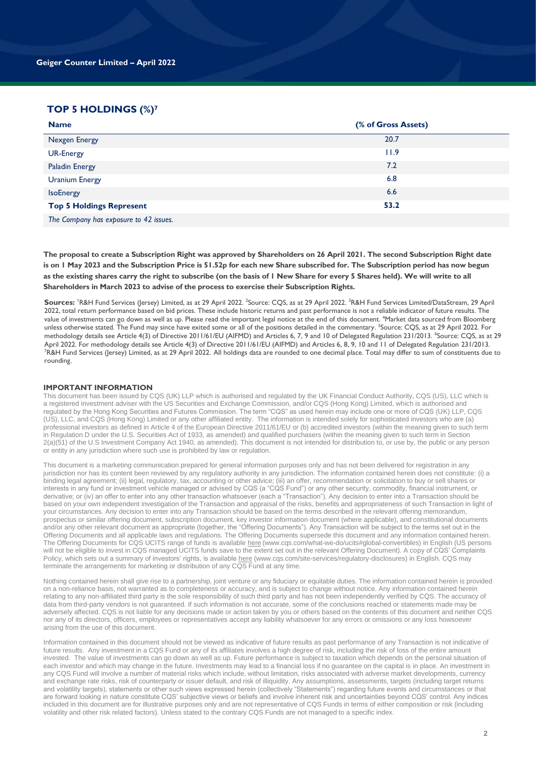# **TOP 5 HOLDINGS (%)7**

**2021**

| <b>Name</b>                          | (% of Gross Assets) |
|--------------------------------------|---------------------|
| <b>Nexgen Energy</b>                 | 20.7                |
| <b>UR-Energy</b>                     | 11.9                |
| <b>Paladin Energy</b>                | 7.2                 |
| <b>Uranium Energy</b>                | 6.8                 |
| <b>IsoEnergy</b>                     | 6.6                 |
| <b>Top 5 Holdings Represent</b>      | 53.2                |
| The Court out has other to 42 inches |                     |

*The Company has exposure to 42 issues.*

**The proposal to create a Subscription Right was approved by Shareholders on 26 April 2021. The second Subscription Right date is on 1 May 2023 and the Subscription Price is 51.52p for each new Share subscribed for. The Subscription period has now begun as the existing shares carry the right to subscribe (on the basis of 1 New Share for every 5 Shares held). We will write to all Shareholders in March 2023 to advise of the process to exercise their Subscription Rights.**

 $\sf{Sources}'$   $\sf{R\&H}$  Fund Services (Jersey) Limited, as at 29 April 2022. <sup>2</sup>Source: CQS, as at 29 April 2022. <sup>3</sup>R&H Fund Services Limited/DataStream, 29 April 2022, total return performance based on bid prices. These include historic returns and past performance is not a reliable indicator of future results. The value of investments can go down as well as up. Please read the important legal notice at the end of this document. <sup>4</sup>Market data sourced from Bloomberg unless otherwise stated. The Fund may since have exited some or all of the positions detailed in the commentary. <sup>5</sup>Source: CQS, as at 29 April 2022. For methodology details see Article 4(3) of Directive 2011/61/EU (AIFMD) and Articles 6, 7, 9 and 10 of Delegated Regulation 231/2013. <sup>6</sup>Source: CQS, as at 29 April 2022. For methodology details see Article 4(3) of Directive 2011/61/EU (AIFMD) and Articles 6, 8, 9, 10 and 11 of Delegated Regulation 231/2013. <sup>7</sup>R&H Fund Services (Jersey) Limited, as at 29 April 2022. All holdings data are rounded to one decimal place. Total may differ to sum of constituents due to rounding.

#### **IMPORTANT INFORMATION**

This document has been issued by CQS (UK) LLP which is authorised and regulated by the UK Financial Conduct Authority, CQS (US), LLC which is a registered investment adviser with the US Securities and Exchange Commission, and/or CQS (Hong Kong) Limited, which is authorised and regulated by the Hong Kong Securities and Futures Commission. The term "CQS" as used herein may include one or more of CQS (UK) LLP, CQS (US), LLC, and CQS (Hong Kong) Limited or any other affiliated entity. The information is intended solely for sophisticated investors who are (a) professional investors as defined in Article 4 of the European Directive 2011/61/EU or (b) accredited investors (within the meaning given to such term in Regulation D under the U.S. Securities Act of 1933, as amended) and qualified purchasers (within the meaning given to such term in Section  $2(a)(51)$  of the U.S Investment Company Act 1940, as amended). This document is not intended for distribution to, or use by, the public or any person or entity in any jurisdiction where such use is prohibited by law or regulation.

This document is a marketing communication prepared for general information purposes only and has not been delivered for registration in any jurisdiction nor has its content been reviewed by any regulatory authority in any jurisdiction. The information contained herein does not constitute: (i) a binding legal agreement; (ii) legal, regulatory, tax, accounting or other advice; (iii) an offer, recommendation or solicitation to buy or sell shares or interests in any fund or investment vehicle managed or advised by CQS (a "CQS Fund") or any other security, commodity, financial instrument, or derivative; or (iv) an offer to enter into any other transaction whatsoever (each a "Transaction"). Any decision to enter into a Transaction should be based on your own independent investigation of the Transaction and appraisal of the risks, benefits and appropriateness of such Transaction in light of your circumstances. Any decision to enter into any Transaction should be based on the terms described in the relevant offering memorandum, prospectus or similar offering document, subscription document, key investor information document (where applicable), and constitutional documents and/or any other relevant document as appropriate (together, the "Offering Documents"). Any Transaction will be subject to the terms set out in the Offering Documents and all applicable laws and regulations. The Offering Documents supersede this document and any information contained herein. The Offering Documents for CQS UCITS range of funds is availabl[e here](https://www.cqs.com/what-we-do/ucits) (www.cqs.com/what-we-do/ucits#global-convertibles) in English (US persons will not be eligible to invest in CQS managed UCITS funds save to the extent set out in the relevant Offering Document). A copy of CQS' Complaints Policy, which sets out a summary of investors' rights, is availabl[e here](https://www.cqs.com/site-services/regulatory-disclosures) (www.cqs.com/site-services/regulatory-disclosures) in English. CQS may terminate the arrangements for marketing or distribution of any CQS Fund at any time.

Nothing contained herein shall give rise to a partnership, joint venture or any fiduciary or equitable duties. The information contained herein is provided on a non-reliance basis, not warranted as to completeness or accuracy, and is subject to change without notice. Any information contained herein relating to any non-affiliated third party is the sole responsibility of such third party and has not been independently verified by CQS. The accuracy of data from third-party vendors is not guaranteed. If such information is not accurate, some of the conclusions reached or statements made may be adversely affected. CQS is not liable for any decisions made or action taken by you or others based on the contents of this document and neither CQS nor any of its directors, officers, employees or representatives accept any liability whatsoever for any errors or omissions or any loss howsoever arising from the use of this document.

Information contained in this document should not be viewed as indicative of future results as past performance of any Transaction is not indicative of future results. Any investment in a CQS Fund or any of its affiliates involves a high degree of risk, including the risk of loss of the entire amount invested. The value of investments can go down as well as up. Future performance is subject to taxation which depends on the personal situation of each investor and which may change in the future. Investments may lead to a financial loss if no guarantee on the capital is in place. An investment in any CQS Fund will involve a number of material risks which include, without limitation, risks associated with adverse market developments, currency and exchange rate risks, risk of counterparty or issuer default, and risk of illiquidity. Any assumptions, assessments, targets (including target returns and volatility targets), statements or other such views expressed herein (collectively "Statements") regarding future events and circumstances or that are forward looking in nature constitute CQS' subjective views or beliefs and involve inherent risk and uncertainties beyond CQS' control. Any indices included in this document are for illustrative purposes only and are not representative of CQS Funds in terms of either composition or risk (including volatility and other risk related factors). Unless stated to the contrary CQS Funds are not managed to a specific index.